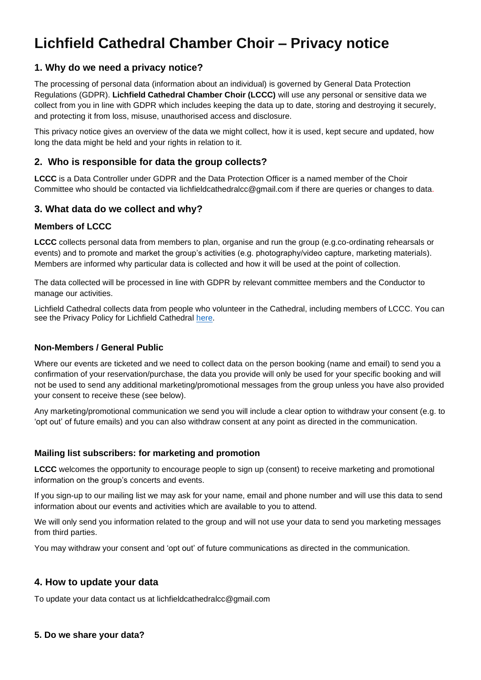# **Lichfield Cathedral Chamber Choir – Privacy notice**

## **1. Why do we need a privacy notice?**

The processing of personal data (information about an individual) is governed by General Data Protection Regulations (GDPR). **Lichfield Cathedral Chamber Choir (LCCC)** will use any personal or sensitive data we collect from you in line with GDPR which includes keeping the data up to date, storing and destroying it securely, and protecting it from loss, misuse, unauthorised access and disclosure.

This privacy notice gives an overview of the data we might collect, how it is used, kept secure and updated, how long the data might be held and your rights in relation to it.

## **2. Who is responsible for data the group collects?**

**LCCC** is a Data Controller under GDPR and the Data Protection Officer is a named member of the Choir Committee who should be contacted via lichfieldcathedralcc@gmail.com if there are queries or changes to data.

## **3. What data do we collect and why?**

#### **Members of LCCC**

**LCCC** collects personal data from members to plan, organise and run the group (e.g.co-ordinating rehearsals or events) and to promote and market the group's activities (e.g. photography/video capture, marketing materials). Members are informed why particular data is collected and how it will be used at the point of collection.

The data collected will be processed in line with GDPR by relevant committee members and the Conductor to manage our activities.

Lichfield Cathedral collects data from people who volunteer in the Cathedral, including members of LCCC. You can see the Privacy Policy for Lichfield Cathedral [here.](https://www.lichfield-cathedral.org/home/privacy-policy)

#### **Non-Members / General Public**

Where our events are ticketed and we need to collect data on the person booking (name and email) to send you a confirmation of your reservation/purchase, the data you provide will only be used for your specific booking and will not be used to send any additional marketing/promotional messages from the group unless you have also provided your consent to receive these (see below).

Any marketing/promotional communication we send you will include a clear option to withdraw your consent (e.g. to 'opt out' of future emails) and you can also withdraw consent at any point as directed in the communication.

#### **Mailing list subscribers: for marketing and promotion**

**LCCC** welcomes the opportunity to encourage people to sign up (consent) to receive marketing and promotional information on the group's concerts and events.

If you sign-up to our mailing list we may ask for your name, email and phone number and will use this data to send information about our events and activities which are available to you to attend.

We will only send you information related to the group and will not use your data to send you marketing messages from third parties.

You may withdraw your consent and 'opt out' of future communications as directed in the communication.

#### **4. How to update your data**

To update your data contact us at lichfieldcathedralcc@gmail.com

#### **5. Do we share your data?**